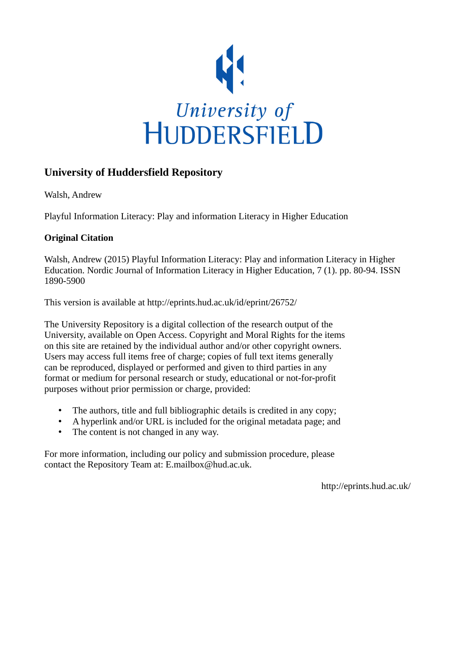

# **University of Huddersfield Repository**

Walsh, Andrew

Playful Information Literacy: Play and information Literacy in Higher Education

# **Original Citation**

Walsh, Andrew (2015) Playful Information Literacy: Play and information Literacy in Higher Education. Nordic Journal of Information Literacy in Higher Education, 7 (1). pp. 80-94. ISSN 1890-5900

This version is available at http://eprints.hud.ac.uk/id/eprint/26752/

The University Repository is a digital collection of the research output of the University, available on Open Access. Copyright and Moral Rights for the items on this site are retained by the individual author and/or other copyright owners. Users may access full items free of charge; copies of full text items generally can be reproduced, displayed or performed and given to third parties in any format or medium for personal research or study, educational or not-for-profit purposes without prior permission or charge, provided:

- The authors, title and full bibliographic details is credited in any copy;
- A hyperlink and/or URL is included for the original metadata page; and
- The content is not changed in any way.

For more information, including our policy and submission procedure, please contact the Repository Team at: E.mailbox@hud.ac.uk.

http://eprints.hud.ac.uk/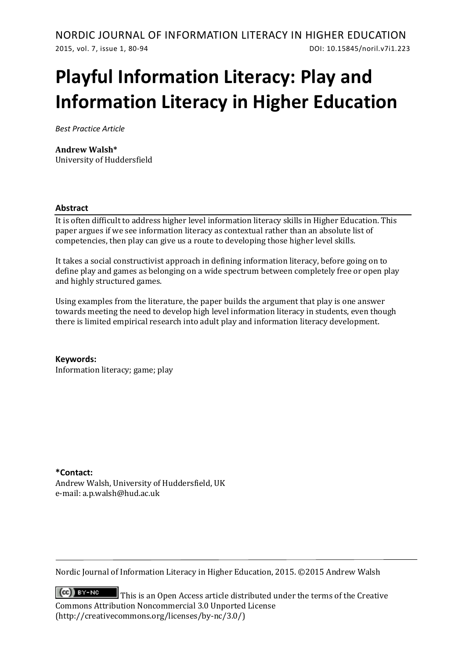# **Playful Information Literacy: Play and Information Literacy in Higher Education**

*Best Practice Article*

### **Andrew Walsh\***

University of Huddersfield

#### **Abstract**

It is often difficult to address higher level information literacy skills in Higher Education. This paper argues if we see information literacy as contextual rather than an absolute list of competencies, then play can give us a route to developing those higher level skills.

It takes a social constructivist approach in defining information literacy, before going on to define play and games as belonging on a wide spectrum between completely free or open play and highly structured games.

Using examples from the literature, the paper builds the argument that play is one answer towards meeting the need to develop high level information literacy in students, even though there is limited empirical research into adult play and information literacy development.

**Keywords:**  Information literacy; game; play

### **\*Contact:**

Andrew Walsh, University of Huddersfield, UK e-mail: a.p.walsh@hud.ac.uk

Nordic Journal of Information Literacy in Higher Education, 2015. ©2015 Andrew Walsh

 $(cc)$  BY-NC This is an Open Access article distributed under the terms of the Creative Commons Attribution Noncommercial 3.0 Unported License (http://creativecommons.org/licenses/by-nc/3.0/)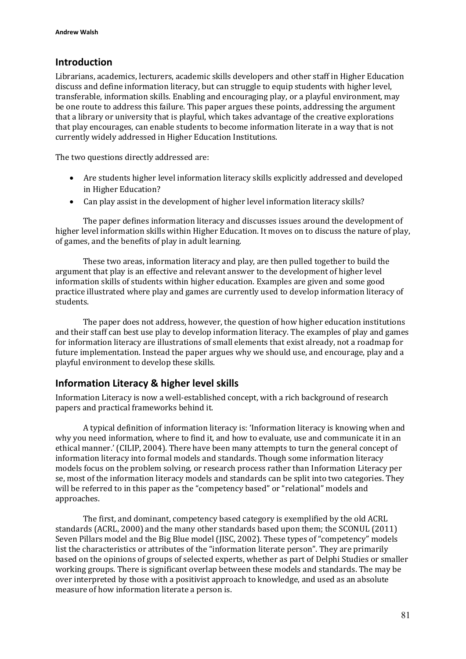# **Introduction**

Librarians, academics, lecturers, academic skills developers and other staff in Higher Education discuss and define information literacy, but can struggle to equip students with higher level, transferable, information skills. Enabling and encouraging play, or a playful environment, may be one route to address this failure. This paper argues these points, addressing the argument that a library or university that is playful, which takes advantage of the creative explorations that play encourages, can enable students to become information literate in a way that is not currently widely addressed in Higher Education Institutions.

The two questions directly addressed are:

- Are students higher level information literacy skills explicitly addressed and developed in Higher Education?
- Can play assist in the development of higher level information literacy skills?

The paper defines information literacy and discusses issues around the development of higher level information skills within Higher Education. It moves on to discuss the nature of play, of games, and the benefits of play in adult learning.

These two areas, information literacy and play, are then pulled together to build the argument that play is an effective and relevant answer to the development of higher level information skills of students within higher education. Examples are given and some good practice illustrated where play and games are currently used to develop information literacy of students.

The paper does not address, however, the question of how higher education institutions and their staff can best use play to develop information literacy. The examples of play and games for information literacy are illustrations of small elements that exist already, not a roadmap for future implementation. Instead the paper argues why we should use, and encourage, play and a playful environment to develop these skills.

# **Information Literacy & higher level skills**

Information Literacy is now a well-established concept, with a rich background of research papers and practical frameworks behind it.

A typical definition of information literacy is: 'Information literacy is knowing when and why you need information, where to find it, and how to evaluate, use and communicate it in an ethical manner.' (CILIP, 2004). There have been many attempts to turn the general concept of information literacy into formal models and standards. Though some information literacy models focus on the problem solving, or research process rather than Information Literacy per se, most of the information literacy models and standards can be split into two categories. They will be referred to in this paper as the "competency based" or "relational" models and approaches.

The first, and dominant, competency based category is exemplified by the old ACRL standards (ACRL, 2000) and the many other standards based upon them; the SCONUL (2011) Seven Pillars model and the Big Blue model (JISC, 2002). These types of "competency" models list the characteristics or attributes of the "information literate person". They are primarily based on the opinions of groups of selected experts, whether as part of Delphi Studies or smaller working groups. There is significant overlap between these models and standards. The may be over interpreted by those with a positivist approach to knowledge, and used as an absolute measure of how information literate a person is.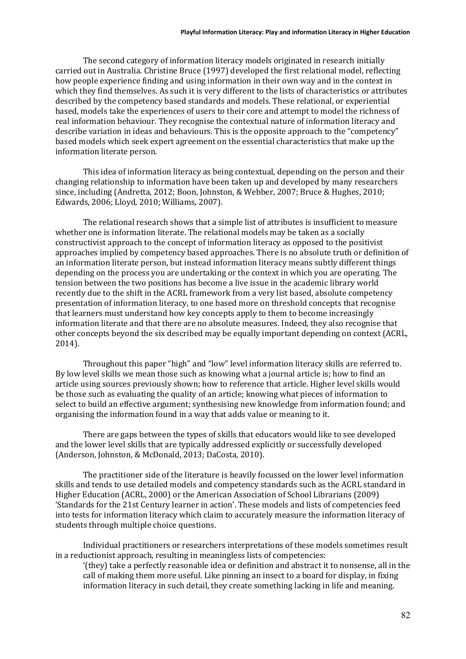The second category of information literacy models originated in research initially carried out in Australia. Christine Bruce (1997) developed the first relational model, reflecting how people experience finding and using information in their own way and in the context in which they find themselves. As such it is very different to the lists of characteristics or attributes described by the competency based standards and models. These relational, or experiential based, models take the experiences of users to their core and attempt to model the richness of real information behaviour. They recognise the contextual nature of information literacy and describe variation in ideas and behaviours. This is the opposite approach to the "competency" based models which seek expert agreement on the essential characteristics that make up the information literate person.

This idea of information literacy as being contextual, depending on the person and their changing relationship to information have been taken up and developed by many researchers since, including (Andretta, 2012; Boon, Johnston, & Webber, 2007; Bruce & Hughes, 2010; Edwards, 2006; Lloyd, 2010; Williams, 2007).

The relational research shows that a simple list of attributes is insufficient to measure whether one is information literate. The relational models may be taken as a socially constructivist approach to the concept of information literacy as opposed to the positivist approaches implied by competency based approaches. There is no absolute truth or definition of an information literate person, but instead information literacy means subtly different things depending on the process you are undertaking or the context in which you are operating. The tension between the two positions has become a live issue in the academic library world recently due to the shift in the ACRL framework from a very list based, absolute competency presentation of information literacy, to one based more on threshold concepts that recognise that learners must understand how key concepts apply to them to become increasingly information literate and that there are no absolute measures. Indeed, they also recognise that other concepts beyond the six described may be equally important depending on context (ACRL, 2014).

Throughout this paper "high" and "low" level information literacy skills are referred to. By low level skills we mean those such as knowing what a journal article is; how to find an article using sources previously shown; how to reference that article. Higher level skills would be those such as evaluating the quality of an article; knowing what pieces of information to select to build an effective argument; synthesising new knowledge from information found; and organising the information found in a way that adds value or meaning to it.

There are gaps between the types of skills that educators would like to see developed and the lower level skills that are typically addressed explicitly or successfully developed (Anderson, Johnston, & McDonald, 2013; DaCosta, 2010).

The practitioner side of the literature is heavily focussed on the lower level information skills and tends to use detailed models and competency standards such as the ACRL standard in Higher Education (ACRL, 2000) or the American Association of School Librarians (2009) 'Standards for the 21st Century learner in action'. These models and lists of competencies feed into tests for information literacy which claim to accurately measure the information literacy of students through multiple choice questions.

Individual practitioners or researchers interpretations of these models sometimes result in a reductionist approach, resulting in meaningless lists of competencies:

'(they) take a perfectly reasonable idea or definition and abstract it to nonsense, all in the call of making them more useful. Like pinning an insect to a board for display, in fixing information literacy in such detail, they create something lacking in life and meaning.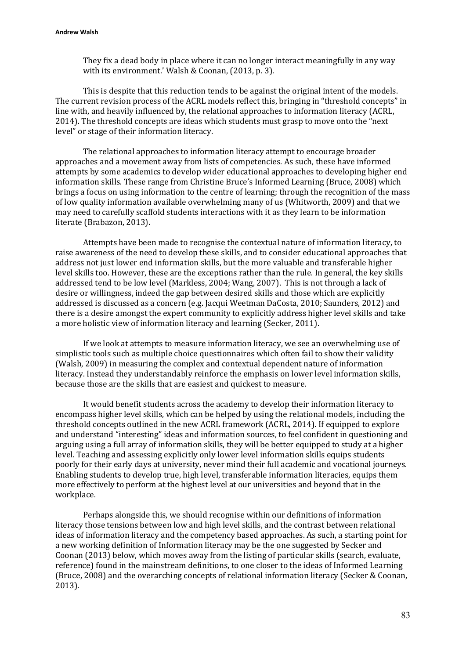They fix a dead body in place where it can no longer interact meaningfully in any way with its environment.' Walsh & Coonan, (2013, p. 3).

This is despite that this reduction tends to be against the original intent of the models. The current revision process of the ACRL models reflect this, bringing in "threshold concepts" in line with, and heavily influenced by, the relational approaches to information literacy (ACRL, 2014). The threshold concepts are ideas which students must grasp to move onto the "next level" or stage of their information literacy.

The relational approaches to information literacy attempt to encourage broader approaches and a movement away from lists of competencies. As such, these have informed attempts by some academics to develop wider educational approaches to developing higher end information skills. These range from Christine Bruce's Informed Learning (Bruce, 2008) which brings a focus on using information to the centre of learning; through the recognition of the mass of low quality information available overwhelming many of us (Whitworth, 2009) and that we may need to carefully scaffold students interactions with it as they learn to be information literate (Brabazon, 2013).

Attempts have been made to recognise the contextual nature of information literacy, to raise awareness of the need to develop these skills, and to consider educational approaches that address not just lower end information skills, but the more valuable and transferable higher level skills too. However, these are the exceptions rather than the rule. In general, the key skills addressed tend to be low level (Markless, 2004; Wang, 2007). This is not through a lack of desire or willingness, indeed the gap between desired skills and those which are explicitly addressed is discussed as a concern (e.g. Jacqui Weetman DaCosta, 2010; Saunders, 2012) and there is a desire amongst the expert community to explicitly address higher level skills and take a more holistic view of information literacy and learning (Secker, 2011).

If we look at attempts to measure information literacy, we see an overwhelming use of simplistic tools such as multiple choice questionnaires which often fail to show their validity (Walsh, 2009) in measuring the complex and contextual dependent nature of information literacy. Instead they understandably reinforce the emphasis on lower level information skills, because those are the skills that are easiest and quickest to measure.

It would benefit students across the academy to develop their information literacy to encompass higher level skills, which can be helped by using the relational models, including the threshold concepts outlined in the new ACRL framework (ACRL, 2014). If equipped to explore and understand "interesting" ideas and information sources, to feel confident in questioning and arguing using a full array of information skills, they will be better equipped to study at a higher level. Teaching and assessing explicitly only lower level information skills equips students poorly for their early days at university, never mind their full academic and vocational journeys. Enabling students to develop true, high level, transferable information literacies, equips them more effectively to perform at the highest level at our universities and beyond that in the workplace.

Perhaps alongside this, we should recognise within our definitions of information literacy those tensions between low and high level skills, and the contrast between relational ideas of information literacy and the competency based approaches. As such, a starting point for a new working definition of Information literacy may be the one suggested by Secker and Coonan (2013) below, which moves away from the listing of particular skills (search, evaluate, reference) found in the mainstream definitions, to one closer to the ideas of Informed Learning (Bruce, 2008) and the overarching concepts of relational information literacy (Secker & Coonan, 2013).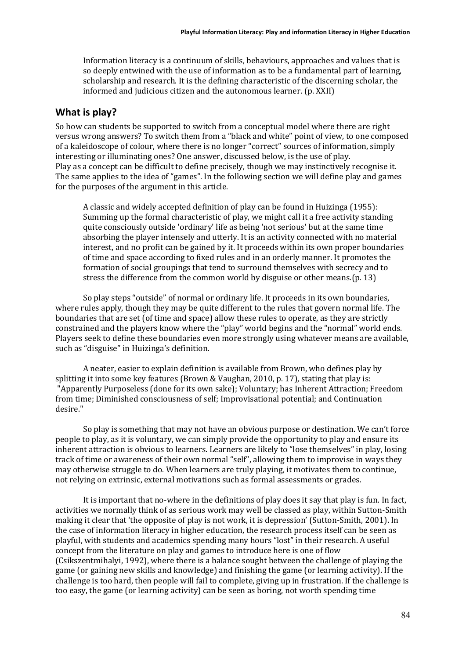Information literacy is a continuum of skills, behaviours, approaches and values that is so deeply entwined with the use of information as to be a fundamental part of learning, scholarship and research. It is the defining characteristic of the discerning scholar, the informed and judicious citizen and the autonomous learner. (p. XXII)

## **What is play?**

So how can students be supported to switch from a conceptual model where there are right versus wrong answers? To switch them from a "black and white" point of view, to one composed of a kaleidoscope of colour, where there is no longer "correct" sources of information, simply interesting or illuminating ones? One answer, discussed below, is the use of play. Play as a concept can be difficult to define precisely, though we may instinctively recognise it. The same applies to the idea of "games". In the following section we will define play and games for the purposes of the argument in this article.

A classic and widely accepted definition of play can be found in Huizinga (1955): Summing up the formal characteristic of play, we might call it a free activity standing quite consciously outside 'ordinary' life as being 'not serious' but at the same time absorbing the player intensely and utterly. It is an activity connected with no material interest, and no profit can be gained by it. It proceeds within its own proper boundaries of time and space according to fixed rules and in an orderly manner. It promotes the formation of social groupings that tend to surround themselves with secrecy and to stress the difference from the common world by disguise or other means.(p. 13)

So play steps "outside" of normal or ordinary life. It proceeds in its own boundaries, where rules apply, though they may be quite different to the rules that govern normal life. The boundaries that are set (of time and space) allow these rules to operate, as they are strictly constrained and the players know where the "play" world begins and the "normal" world ends. Players seek to define these boundaries even more strongly using whatever means are available, such as "disguise" in Huizinga's definition.

A neater, easier to explain definition is available from Brown, who defines play by splitting it into some key features (Brown & Vaughan, 2010, p. 17), stating that play is: "Apparently Purposeless (done for its own sake); Voluntary; has Inherent Attraction; Freedom from time; Diminished consciousness of self; Improvisational potential; and Continuation desire."

So play is something that may not have an obvious purpose or destination. We can't force people to play, as it is voluntary, we can simply provide the opportunity to play and ensure its inherent attraction is obvious to learners. Learners are likely to "lose themselves" in play, losing track of time or awareness of their own normal "self", allowing them to improvise in ways they may otherwise struggle to do. When learners are truly playing, it motivates them to continue, not relying on extrinsic, external motivations such as formal assessments or grades.

It is important that no-where in the definitions of play does it say that play is fun. In fact, activities we normally think of as serious work may well be classed as play, within Sutton-Smith making it clear that 'the opposite of play is not work, it is depression' (Sutton-Smith, 2001). In the case of information literacy in higher education, the research process itself can be seen as playful, with students and academics spending many hours "lost" in their research. A useful concept from the literature on play and games to introduce here is one of flow (Csikszentmihalyi, 1992), where there is a balance sought between the challenge of playing the game (or gaining new skills and knowledge) and finishing the game (or learning activity). If the challenge is too hard, then people will fail to complete, giving up in frustration. If the challenge is too easy, the game (or learning activity) can be seen as boring, not worth spending time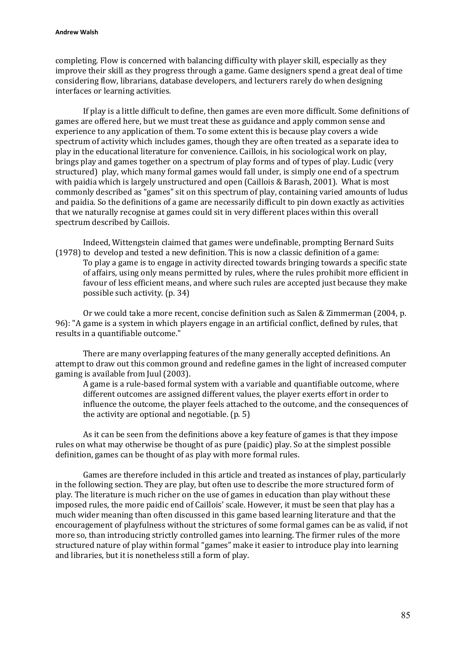completing. Flow is concerned with balancing difficulty with player skill, especially as they improve their skill as they progress through a game. Game designers spend a great deal of time considering flow, librarians, database developers, and lecturers rarely do when designing interfaces or learning activities.

If play is a little difficult to define, then games are even more difficult. Some definitions of games are offered here, but we must treat these as guidance and apply common sense and experience to any application of them. To some extent this is because play covers a wide spectrum of activity which includes games, though they are often treated as a separate idea to play in the educational literature for convenience. Caillois, in his sociological work on play, brings play and games together on a spectrum of play forms and of types of play. Ludic (very structured) play, which many formal games would fall under, is simply one end of a spectrum with paidia which is largely unstructured and open (Caillois & Barash, 2001). What is most commonly described as "games" sit on this spectrum of play, containing varied amounts of ludus and paidia. So the definitions of a game are necessarily difficult to pin down exactly as activities that we naturally recognise at games could sit in very different places within this overall spectrum described by Caillois.

Indeed, Wittengstein claimed that games were undefinable, prompting Bernard Suits (1978) to develop and tested a new definition. This is now a classic definition of a game:

To play a game is to engage in activity directed towards bringing towards a specific state of affairs, using only means permitted by rules, where the rules prohibit more efficient in favour of less efficient means, and where such rules are accepted just because they make possible such activity. (p. 34)

Or we could take a more recent, concise definition such as Salen & Zimmerman (2004, p. 96): "A game is a system in which players engage in an artificial conflict, defined by rules, that results in a quantifiable outcome."

There are many overlapping features of the many generally accepted definitions. An attempt to draw out this common ground and redefine games in the light of increased computer gaming is available from Juul (2003).

A game is a rule-based formal system with a variable and quantifiable outcome, where different outcomes are assigned different values, the player exerts effort in order to influence the outcome, the player feels attached to the outcome, and the consequences of the activity are optional and negotiable. (p. 5)

As it can be seen from the definitions above a key feature of games is that they impose rules on what may otherwise be thought of as pure (paidic) play. So at the simplest possible definition, games can be thought of as play with more formal rules.

Games are therefore included in this article and treated as instances of play, particularly in the following section. They are play, but often use to describe the more structured form of play. The literature is much richer on the use of games in education than play without these imposed rules, the more paidic end of Caillois' scale. However, it must be seen that play has a much wider meaning than often discussed in this game based learning literature and that the encouragement of playfulness without the strictures of some formal games can be as valid, if not more so, than introducing strictly controlled games into learning. The firmer rules of the more structured nature of play within formal "games" make it easier to introduce play into learning and libraries, but it is nonetheless still a form of play.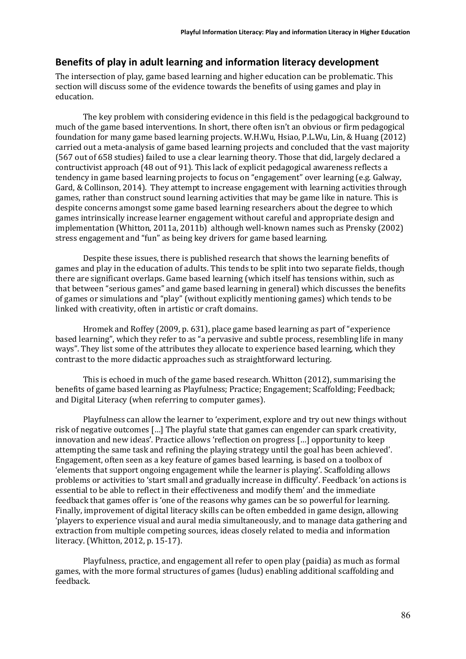# **Benefits of play in adult learning and information literacy development**

The intersection of play, game based learning and higher education can be problematic. This section will discuss some of the evidence towards the benefits of using games and play in education.

The key problem with considering evidence in this field is the pedagogical background to much of the game based interventions. In short, there often isn't an obvious or firm pedagogical foundation for many game based learning projects. W.H.Wu, Hsiao, P.L.Wu, Lin, & Huang (2012) carried out a meta-analysis of game based learning projects and concluded that the vast majority (567 out of 658 studies) failed to use a clear learning theory. Those that did, largely declared a contructivist approach (48 out of 91). This lack of explicit pedagogical awareness reflects a tendency in game based learning projects to focus on "engagement" over learning (e.g. Galway, Gard, & Collinson, 2014). They attempt to increase engagement with learning activities through games, rather than construct sound learning activities that may be game like in nature. This is despite concerns amongst some game based learning researchers about the degree to which games intrinsically increase learner engagement without careful and appropriate design and implementation (Whitton, 2011a, 2011b) although well-known names such as Prensky (2002) stress engagement and "fun" as being key drivers for game based learning.

Despite these issues, there is published research that shows the learning benefits of games and play in the education of adults. This tends to be split into two separate fields, though there are significant overlaps. Game based learning (which itself has tensions within, such as that between "serious games" and game based learning in general) which discusses the benefits of games or simulations and "play" (without explicitly mentioning games) which tends to be linked with creativity, often in artistic or craft domains.

Hromek and Roffey (2009, p. 631), place game based learning as part of "experience based learning", which they refer to as "a pervasive and subtle process, resembling life in many ways". They list some of the attributes they allocate to experience based learning, which they contrast to the more didactic approaches such as straightforward lecturing.

This is echoed in much of the game based research. Whitton (2012), summarising the benefits of game based learning as Playfulness; Practice; Engagement; Scaffolding; Feedback; and Digital Literacy (when referring to computer games).

Playfulness can allow the learner to 'experiment, explore and try out new things without risk of negative outcomes […] The playful state that games can engender can spark creativity, innovation and new ideas'. Practice allows 'reflection on progress […] opportunity to keep attempting the same task and refining the playing strategy until the goal has been achieved'. Engagement, often seen as a key feature of games based learning, is based on a toolbox of 'elements that support ongoing engagement while the learner is playing'. Scaffolding allows problems or activities to 'start small and gradually increase in difficulty'. Feedback 'on actions is essential to be able to reflect in their effectiveness and modify them' and the immediate feedback that games offer is 'one of the reasons why games can be so powerful for learning. Finally, improvement of digital literacy skills can be often embedded in game design, allowing 'players to experience visual and aural media simultaneously, and to manage data gathering and extraction from multiple competing sources, ideas closely related to media and information literacy. (Whitton, 2012, p. 15-17).

Playfulness, practice, and engagement all refer to open play (paidia) as much as formal games, with the more formal structures of games (ludus) enabling additional scaffolding and feedback.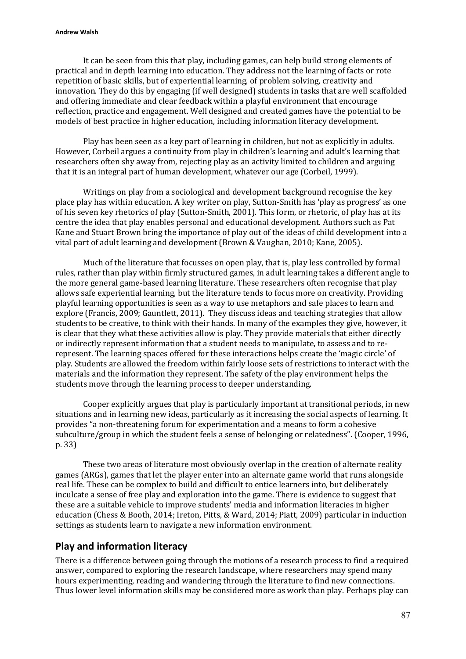It can be seen from this that play, including games, can help build strong elements of practical and in depth learning into education. They address not the learning of facts or rote repetition of basic skills, but of experiential learning, of problem solving, creativity and innovation. They do this by engaging (if well designed) students in tasks that are well scaffolded and offering immediate and clear feedback within a playful environment that encourage reflection, practice and engagement. Well designed and created games have the potential to be models of best practice in higher education, including information literacy development.

Play has been seen as a key part of learning in children, but not as explicitly in adults. However, Corbeil argues a continuity from play in children's learning and adult's learning that researchers often shy away from, rejecting play as an activity limited to children and arguing that it is an integral part of human development, whatever our age (Corbeil, 1999).

Writings on play from a sociological and development background recognise the key place play has within education. A key writer on play, Sutton-Smith has 'play as progress' as one of his seven key rhetorics of play (Sutton-Smith, 2001). This form, or rhetoric, of play has at its centre the idea that play enables personal and educational development. Authors such as Pat Kane and Stuart Brown bring the importance of play out of the ideas of child development into a vital part of adult learning and development (Brown & Vaughan, 2010; Kane, 2005).

Much of the literature that focusses on open play, that is, play less controlled by formal rules, rather than play within firmly structured games, in adult learning takes a different angle to the more general game-based learning literature. These researchers often recognise that play allows safe experiential learning, but the literature tends to focus more on creativity. Providing playful learning opportunities is seen as a way to use metaphors and safe places to learn and explore (Francis, 2009; Gauntlett, 2011). They discuss ideas and teaching strategies that allow students to be creative, to think with their hands. In many of the examples they give, however, it is clear that they what these activities allow is play. They provide materials that either directly or indirectly represent information that a student needs to manipulate, to assess and to rerepresent. The learning spaces offered for these interactions helps create the 'magic circle' of play. Students are allowed the freedom within fairly loose sets of restrictions to interact with the materials and the information they represent. The safety of the play environment helps the students move through the learning process to deeper understanding.

Cooper explicitly argues that play is particularly important at transitional periods, in new situations and in learning new ideas, particularly as it increasing the social aspects of learning. It provides "a non-threatening forum for experimentation and a means to form a cohesive subculture/group in which the student feels a sense of belonging or relatedness". (Cooper, 1996, p. 33)

These two areas of literature most obviously overlap in the creation of alternate reality games (ARGs), games that let the player enter into an alternate game world that runs alongside real life. These can be complex to build and difficult to entice learners into, but deliberately inculcate a sense of free play and exploration into the game. There is evidence to suggest that these are a suitable vehicle to improve students' media and information literacies in higher education (Chess & Booth, 2014; Ireton, Pitts, & Ward, 2014; Piatt, 2009) particular in induction settings as students learn to navigate a new information environment.

# **Play and information literacy**

There is a difference between going through the motions of a research process to find a required answer, compared to exploring the research landscape, where researchers may spend many hours experimenting, reading and wandering through the literature to find new connections. Thus lower level information skills may be considered more as work than play. Perhaps play can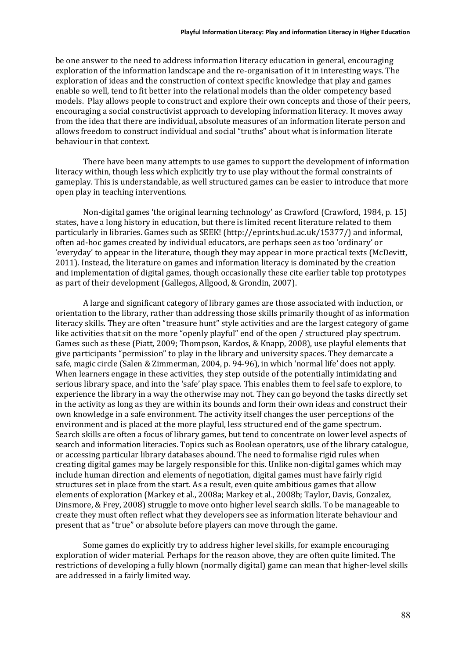be one answer to the need to address information literacy education in general, encouraging exploration of the information landscape and the re-organisation of it in interesting ways. The exploration of ideas and the construction of context specific knowledge that play and games enable so well, tend to fit better into the relational models than the older competency based models. Play allows people to construct and explore their own concepts and those of their peers, encouraging a social constructivist approach to developing information literacy. It moves away from the idea that there are individual, absolute measures of an information literate person and allows freedom to construct individual and social "truths" about what is information literate behaviour in that context.

There have been many attempts to use games to support the development of information literacy within, though less which explicitly try to use play without the formal constraints of gameplay. This is understandable, as well structured games can be easier to introduce that more open play in teaching interventions.

Non-digital games 'the original learning technology' as Crawford (Crawford, 1984, p. 15) states, have a long history in education, but there is limited recent literature related to them particularly in libraries. Games such as SEEK! (http://eprints.hud.ac.uk/15377/) and informal, often ad-hoc games created by individual educators, are perhaps seen as too 'ordinary' or 'everyday' to appear in the literature, though they may appear in more practical texts (McDevitt, 2011). Instead, the literature on games and information literacy is dominated by the creation and implementation of digital games, though occasionally these cite earlier table top prototypes as part of their development (Gallegos, Allgood, & Grondin, 2007).

A large and significant category of library games are those associated with induction, or orientation to the library, rather than addressing those skills primarily thought of as information literacy skills. They are often "treasure hunt" style activities and are the largest category of game like activities that sit on the more "openly playful" end of the open / structured play spectrum. Games such as these (Piatt, 2009; Thompson, Kardos, & Knapp, 2008), use playful elements that give participants "permission" to play in the library and university spaces. They demarcate a safe, magic circle (Salen & Zimmerman, 2004, p. 94-96), in which 'normal life' does not apply. When learners engage in these activities, they step outside of the potentially intimidating and serious library space, and into the 'safe' play space. This enables them to feel safe to explore, to experience the library in a way the otherwise may not. They can go beyond the tasks directly set in the activity as long as they are within its bounds and form their own ideas and construct their own knowledge in a safe environment. The activity itself changes the user perceptions of the environment and is placed at the more playful, less structured end of the game spectrum. Search skills are often a focus of library games, but tend to concentrate on lower level aspects of search and information literacies. Topics such as Boolean operators, use of the library catalogue, or accessing particular library databases abound. The need to formalise rigid rules when creating digital games may be largely responsible for this. Unlike non-digital games which may include human direction and elements of negotiation, digital games must have fairly rigid structures set in place from the start. As a result, even quite ambitious games that allow elements of exploration (Markey et al., 2008a; Markey et al., 2008b; Taylor, Davis, Gonzalez, Dinsmore, & Frey, 2008) struggle to move onto higher level search skills. To be manageable to create they must often reflect what they developers see as information literate behaviour and present that as "true" or absolute before players can move through the game.

Some games do explicitly try to address higher level skills, for example encouraging exploration of wider material. Perhaps for the reason above, they are often quite limited. The restrictions of developing a fully blown (normally digital) game can mean that higher-level skills are addressed in a fairly limited way.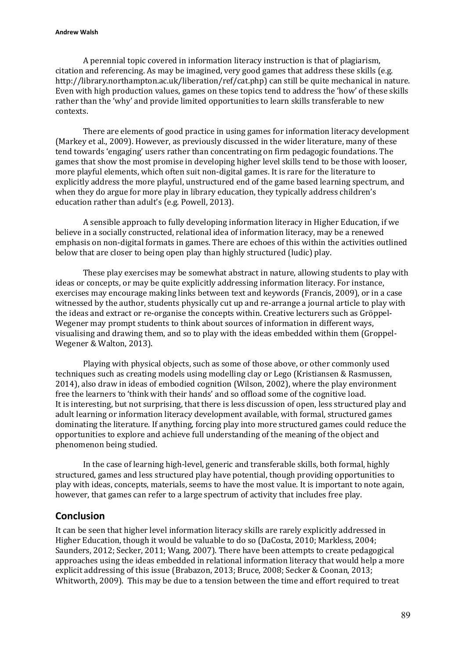#### **Andrew Walsh**

A perennial topic covered in information literacy instruction is that of plagiarism, citation and referencing. As may be imagined, very good games that address these skills (e.g. http://library.northampton.ac.uk/liberation/ref/cat.php) can still be quite mechanical in nature. Even with high production values, games on these topics tend to address the 'how' of these skills rather than the 'why' and provide limited opportunities to learn skills transferable to new contexts.

There are elements of good practice in using games for information literacy development (Markey et al., 2009). However, as previously discussed in the wider literature, many of these tend towards 'engaging' users rather than concentrating on firm pedagogic foundations. The games that show the most promise in developing higher level skills tend to be those with looser, more playful elements, which often suit non-digital games. It is rare for the literature to explicitly address the more playful, unstructured end of the game based learning spectrum, and when they do argue for more play in library education, they typically address children's education rather than adult's (e.g. Powell, 2013).

A sensible approach to fully developing information literacy in Higher Education, if we believe in a socially constructed, relational idea of information literacy, may be a renewed emphasis on non-digital formats in games. There are echoes of this within the activities outlined below that are closer to being open play than highly structured (ludic) play.

These play exercises may be somewhat abstract in nature, allowing students to play with ideas or concepts, or may be quite explicitly addressing information literacy. For instance, exercises may encourage making links between text and keywords (Francis, 2009), or in a case witnessed by the author, students physically cut up and re-arrange a journal article to play with the ideas and extract or re-organise the concepts within. Creative lecturers such as Gröppel-Wegener may prompt students to think about sources of information in different ways, visualising and drawing them, and so to play with the ideas embedded within them (Groppel-Wegener & Walton, 2013).

Playing with physical objects, such as some of those above, or other commonly used techniques such as creating models using modelling clay or Lego (Kristiansen & Rasmussen, 2014), also draw in ideas of embodied cognition (Wilson, 2002), where the play environment free the learners to 'think with their hands' and so offload some of the cognitive load. It is interesting, but not surprising, that there is less discussion of open, less structured play and adult learning or information literacy development available, with formal, structured games dominating the literature. If anything, forcing play into more structured games could reduce the opportunities to explore and achieve full understanding of the meaning of the object and phenomenon being studied.

In the case of learning high-level, generic and transferable skills, both formal, highly structured, games and less structured play have potential, though providing opportunities to play with ideas, concepts, materials, seems to have the most value. It is important to note again, however, that games can refer to a large spectrum of activity that includes free play.

# **Conclusion**

It can be seen that higher level information literacy skills are rarely explicitly addressed in Higher Education, though it would be valuable to do so (DaCosta, 2010; Markless, 2004; Saunders, 2012; Secker, 2011; Wang, 2007). There have been attempts to create pedagogical approaches using the ideas embedded in relational information literacy that would help a more explicit addressing of this issue (Brabazon, 2013; Bruce, 2008; Secker & Coonan, 2013; Whitworth, 2009). This may be due to a tension between the time and effort required to treat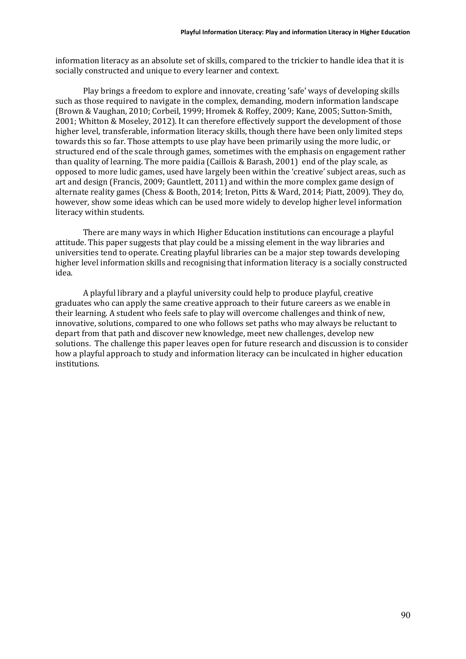information literacy as an absolute set of skills, compared to the trickier to handle idea that it is socially constructed and unique to every learner and context.

Play brings a freedom to explore and innovate, creating 'safe' ways of developing skills such as those required to navigate in the complex, demanding, modern information landscape (Brown & Vaughan, 2010; Corbeil, 1999; Hromek & Roffey, 2009; Kane, 2005; Sutton-Smith, 2001; Whitton & Moseley, 2012). It can therefore effectively support the development of those higher level, transferable, information literacy skills, though there have been only limited steps towards this so far. Those attempts to use play have been primarily using the more ludic, or structured end of the scale through games, sometimes with the emphasis on engagement rather than quality of learning. The more paidia (Caillois & Barash, 2001) end of the play scale, as opposed to more ludic games, used have largely been within the 'creative' subject areas, such as art and design (Francis, 2009; Gauntlett, 2011) and within the more complex game design of alternate reality games (Chess & Booth, 2014; Ireton, Pitts & Ward, 2014; Piatt, 2009). They do, however, show some ideas which can be used more widely to develop higher level information literacy within students.

There are many ways in which Higher Education institutions can encourage a playful attitude. This paper suggests that play could be a missing element in the way libraries and universities tend to operate. Creating playful libraries can be a major step towards developing higher level information skills and recognising that information literacy is a socially constructed idea.

A playful library and a playful university could help to produce playful, creative graduates who can apply the same creative approach to their future careers as we enable in their learning. A student who feels safe to play will overcome challenges and think of new, innovative, solutions, compared to one who follows set paths who may always be reluctant to depart from that path and discover new knowledge, meet new challenges, develop new solutions. The challenge this paper leaves open for future research and discussion is to consider how a playful approach to study and information literacy can be inculcated in higher education institutions.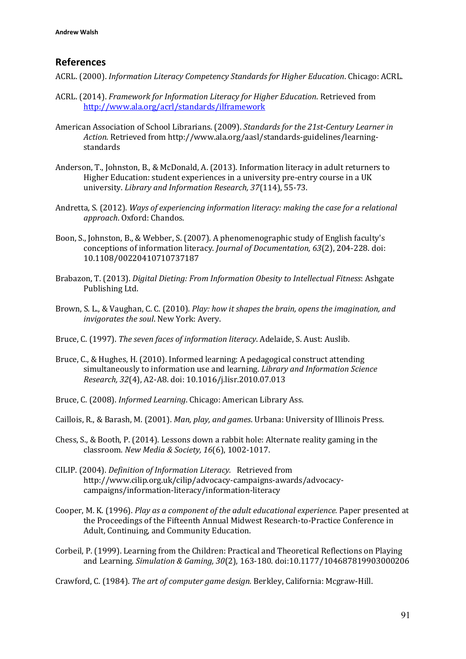# **References**

- ACRL. (2000). *Information Literacy Competency Standards for Higher Education*. Chicago: ACRL.
- ACRL. (2014). *Framework for Information Literacy for Higher Education*. Retrieved from <http://www.ala.org/acrl/standards/ilframework>
- American Association of School Librarians. (2009). *Standards for the 21st-Century Learner in Action*. Retrieved from http://www.ala.org/aasl/standards-guidelines/learningstandards
- Anderson, T., Johnston, B., & McDonald, A. (2013). Information literacy in adult returners to Higher Education: student experiences in a university pre-entry course in a UK university. *Library and Information Research, 37*(114), 55-73.
- Andretta, S. (2012). *Ways of experiencing information literacy: making the case for a relational approach*. Oxford: Chandos.
- Boon, S., Johnston, B., & Webber, S. (2007). A phenomenographic study of English faculty's conceptions of information literacy. *Journal of Documentation, 63*(2), 204-228. doi: 10.1108/00220410710737187
- Brabazon, T. (2013). *Digital Dieting: From Information Obesity to Intellectual Fitness*: Ashgate Publishing Ltd.
- Brown, S. L., & Vaughan, C. C. (2010). *Play: how it shapes the brain, opens the imagination, and invigorates the soul*. New York: Avery.
- Bruce, C. (1997). *The seven faces of information literacy*. Adelaide, S. Aust: Auslib.
- Bruce, C., & Hughes, H. (2010). Informed learning: A pedagogical construct attending simultaneously to information use and learning. *Library and Information Science Research, 32*(4), A2-A8. doi: 10.1016/j.lisr.2010.07.013
- Bruce, C. (2008). *Informed Learning*. Chicago: American Library Ass.
- Caillois, R., & Barash, M. (2001). *Man, play, and games*. Urbana: University of Illinois Press.
- Chess, S., & Booth, P. (2014). Lessons down a rabbit hole: Alternate reality gaming in the classroom. *New Media & Society, 16*(6), 1002-1017.
- CILIP. (2004). *Definition of Information Literacy.* Retrieved from http://www.cilip.org.uk/cilip/advocacy-campaigns-awards/advocacycampaigns/information-literacy/information-literacy
- Cooper, M. K. (1996). *Play as a component of the adult educational experience.* Paper presented at the Proceedings of the Fifteenth Annual Midwest Research-to-Practice Conference in Adult, Continuing, and Community Education.
- Corbeil, P. (1999). Learning from the Children: Practical and Theoretical Reflections on Playing and Learning. *Simulation & Gaming, 30*(2), 163-180. doi:10.1177/104687819903000206

Crawford, C. (1984). *The art of computer game design.* Berkley, California: Mcgraw-Hill.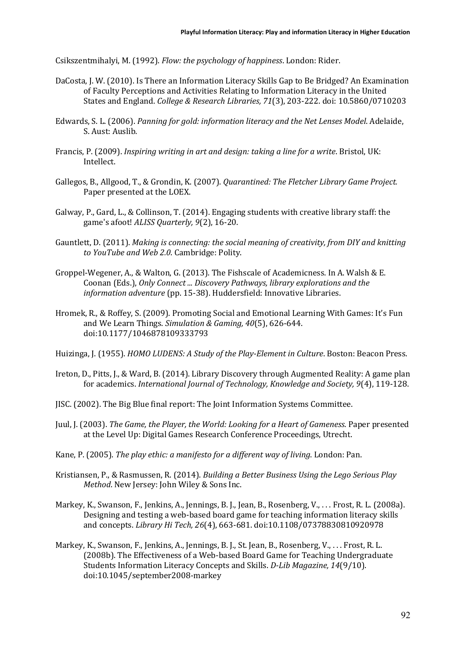Csikszentmihalyi, M. (1992). *Flow: the psychology of happiness*. London: Rider.

- DaCosta, J. W. (2010). Is There an Information Literacy Skills Gap to Be Bridged? An Examination of Faculty Perceptions and Activities Relating to Information Literacy in the United States and England. *College & Research Libraries, 71*(3), 203-222. doi: 10.5860/0710203
- Edwards, S. L. (2006). *Panning for gold: information literacy and the Net Lenses Model*. Adelaide, S. Aust: Auslib.
- Francis, P. (2009). *Inspiring writing in art and design: taking a line for a write*. Bristol, UK: Intellect.
- Gallegos, B., Allgood, T., & Grondin, K. (2007). *Quarantined: The Fletcher Library Game Project.* Paper presented at the LOEX.
- Galway, P., Gard, L., & Collinson, T. (2014). Engaging students with creative library staff: the game's afoot! *ALISS Quarterly, 9*(2), 16-20.
- Gauntlett, D. (2011). *Making is connecting: the social meaning of creativity, from DIY and knitting to YouTube and Web 2.0*. Cambridge: Polity.
- Groppel-Wegener, A., & Walton, G. (2013). The Fishscale of Academicness. In A. Walsh & E. Coonan (Eds.), *Only Connect ... Discovery Pathways, library explorations and the information adventure* (pp. 15-38). Huddersfield: Innovative Libraries.
- Hromek, R., & Roffey, S. (2009). Promoting Social and Emotional Learning With Games: It's Fun and We Learn Things. *Simulation & Gaming, 40*(5), 626-644. doi:10.1177/1046878109333793
- Huizinga, J. (1955). *HOMO LUDENS: A Study of the Play-Element in Culture*. Boston: Beacon Press.
- Ireton, D., Pitts, J., & Ward, B. (2014). Library Discovery through Augmented Reality: A game plan for academics. *International Journal of Technology, Knowledge and Society, 9*(4), 119-128.
- JISC. (2002). The Big Blue final report: The Joint Information Systems Committee.
- Juul, J. (2003). *The Game, the Player, the World: Looking for a Heart of Gameness*. Paper presented at the Level Up: Digital Games Research Conference Proceedings, Utrecht.
- Kane, P. (2005). *The play ethic: a manifesto for a different way of living*. London: Pan.
- Kristiansen, P., & Rasmussen, R. (2014). *Building a Better Business Using the Lego Serious Play Method*. New Jersey: John Wiley & Sons Inc.
- Markey, K., Swanson, F., Jenkins, A., Jennings, B. J., Jean, B., Rosenberg, V., . . . Frost, R. L. (2008a). Designing and testing a web-based board game for teaching information literacy skills and concepts. *Library Hi Tech, 26*(4), 663-681. doi:10.1108/07378830810920978
- Markey, K., Swanson, F., Jenkins, A., Jennings, B. J., St. Jean, B., Rosenberg, V., . . . Frost, R. L. (2008b). The Effectiveness of a Web-based Board Game for Teaching Undergraduate Students Information Literacy Concepts and Skills. *D-Lib Magazine, 14*(9/10). doi:10.1045/september2008-markey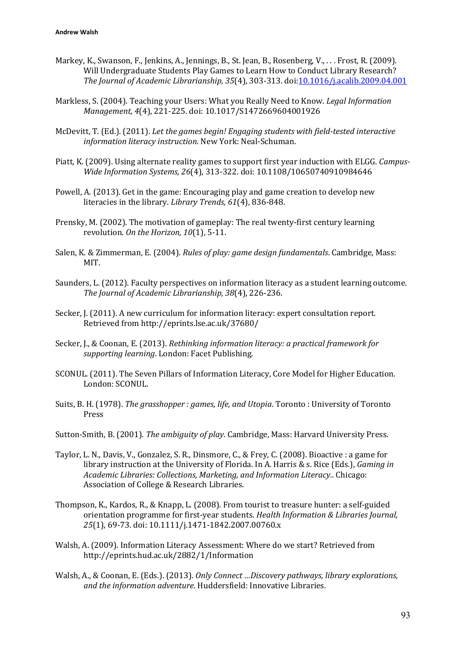- Markey, K., Swanson, F., Jenkins, A., Jennings, B., St. Jean, B., Rosenberg, V., . . . Frost, R. (2009). Will Undergraduate Students Play Games to Learn How to Conduct Library Research? *The Journal of Academic Librarianship, 35*(4), 303-313. doi[:10.1016/j.acalib.2009.04.001](http://dx.doi.org/10.1016/j.acalib.2009.04.001)
- Markless, S. (2004). Teaching your Users: What you Really Need to Know. *Legal Information Management, 4*(4), 221-225. doi: 10.1017/S1472669604001926
- McDevitt, T. (Ed.). (2011). *Let the games begin! Engaging students with field-tested interactive information literacy instruction*. New York: Neal-Schuman.
- Piatt, K. (2009). Using alternate reality games to support first year induction with ELGG. *Campus-Wide Information Systems, 26*(4), 313-322. doi: 10.1108/10650740910984646
- Powell, A. (2013). Get in the game: Encouraging play and game creation to develop new literacies in the library. *Library Trends, 61*(4), 836-848.
- Prensky, M. (2002). The motivation of gameplay: The real twenty-first century learning revolution. *On the Horizon, 10*(1), 5-11.
- Salen, K. & Zimmerman, E. (2004). *Rules of play: game design fundamentals*. Cambridge, Mass: MIT.
- Saunders, L. (2012). Faculty perspectives on information literacy as a student learning outcome. *The Journal of Academic Librarianship, 38*(4), 226-236.
- Secker, J. (2011). A new curriculum for information literacy: expert consultation report. Retrieved from http://eprints.lse.ac.uk/37680/
- Secker, J., & Coonan, E. (2013). *Rethinking information literacy: a practical framework for supporting learning*. London: Facet Publishing.
- SCONUL. (2011). The Seven Pillars of Information Literacy, Core Model for Higher Education. London: SCONUL.
- Suits, B. H. (1978). *The grasshopper : games, life, and Utopia*. Toronto : University of Toronto Press
- Sutton-Smith, B. (2001). *The ambiguity of play*. Cambridge, Mass: Harvard University Press.
- Taylor, L. N., Davis, V., Gonzalez, S. R., Dinsmore, C., & Frey, C. (2008). Bioactive : a game for library instruction at the University of Florida. In A. Harris & s. Rice (Eds.), *Gaming in Academic Libraries: Collections, Marketing, and Information Literacy.*. Chicago: Association of College & Research Libraries.
- Thompson, K., Kardos, R., & Knapp, L. (2008). From tourist to treasure hunter: a self‐guided orientation programme for first‐year students. *Health Information & Libraries Journal, 25*(1), 69-73. doi: 10.1111/j.1471-1842.2007.00760.x
- Walsh, A. (2009). Information Literacy Assessment: Where do we start? Retrieved from http://eprints.hud.ac.uk/2882/1/Information
- Walsh, A., & Coonan, E. (Eds.). (2013). *Only Connect …Discovery pathways, library explorations, and the information adventure*. Huddersfield: Innovative Libraries.